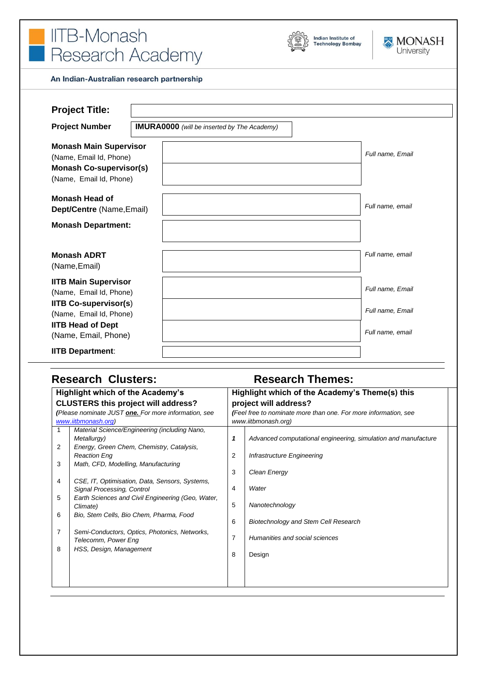





#### An Indian-Australian research partnership

| <b>Project Title:</b>                                                                                                 |                                                    |                  |
|-----------------------------------------------------------------------------------------------------------------------|----------------------------------------------------|------------------|
| <b>Project Number</b>                                                                                                 | <b>IMURA0000</b> (will be inserted by The Academy) |                  |
| <b>Monash Main Supervisor</b><br>(Name, Email Id, Phone)<br><b>Monash Co-supervisor(s)</b><br>(Name, Email Id, Phone) |                                                    | Full name, Email |
| Monash Head of<br>Dept/Centre (Name, Email)<br><b>Monash Department:</b>                                              |                                                    | Full name, email |
| <b>Monash ADRT</b>                                                                                                    |                                                    | Full name, email |
| (Name, Email)                                                                                                         |                                                    |                  |
| <b>IITB Main Supervisor</b><br>(Name, Email Id, Phone)                                                                |                                                    | Full name, Email |
| <b>IITB Co-supervisor(s)</b><br>(Name, Email Id, Phone)                                                               |                                                    | Full name, Email |
| <b>IITB Head of Dept</b><br>(Name, Email, Phone)                                                                      |                                                    | Full name, email |
| <b>IITB Department:</b>                                                                                               |                                                    |                  |

# **Research Clusters: Research Themes:**

| <b>Highlight which of the Academy's</b>              |                                                   | Highlight which of the Academy's Theme(s) this                  |                                                                |  |
|------------------------------------------------------|---------------------------------------------------|-----------------------------------------------------------------|----------------------------------------------------------------|--|
| <b>CLUSTERS this project will address?</b>           |                                                   | project will address?                                           |                                                                |  |
| (Please nominate JUST one. For more information, see |                                                   | (Feel free to nominate more than one. For more information, see |                                                                |  |
| www.iitbmonash.org)                                  |                                                   | www.iitbmonash.org)                                             |                                                                |  |
|                                                      | Material Science/Engineering (including Nano,     |                                                                 |                                                                |  |
|                                                      | Metallurgy)                                       | 1                                                               | Advanced computational engineering, simulation and manufacture |  |
| 2                                                    | Energy, Green Chem, Chemistry, Catalysis,         |                                                                 |                                                                |  |
|                                                      | <b>Reaction Eng</b>                               | 2                                                               | Infrastructure Engineering                                     |  |
| 3                                                    | Math, CFD, Modelling, Manufacturing               |                                                                 |                                                                |  |
|                                                      |                                                   | 3                                                               | Clean Energy                                                   |  |
| 4                                                    | CSE, IT, Optimisation, Data, Sensors, Systems,    |                                                                 |                                                                |  |
|                                                      | Signal Processing, Control                        | 4                                                               | Water                                                          |  |
| 5                                                    | Earth Sciences and Civil Engineering (Geo, Water, | 5                                                               | Nanotechnology                                                 |  |
|                                                      | Climate)                                          |                                                                 |                                                                |  |
| 6                                                    | Bio, Stem Cells, Bio Chem, Pharma, Food           | 6                                                               | Biotechnology and Stem Cell Research                           |  |
|                                                      |                                                   |                                                                 |                                                                |  |
| 7                                                    | Semi-Conductors, Optics, Photonics, Networks,     | 7                                                               | Humanities and social sciences                                 |  |
| 8                                                    | Telecomm, Power Eng                               |                                                                 |                                                                |  |
|                                                      | HSS, Design, Management                           | 8                                                               | Design                                                         |  |
|                                                      |                                                   |                                                                 |                                                                |  |
|                                                      |                                                   |                                                                 |                                                                |  |
|                                                      |                                                   |                                                                 |                                                                |  |
|                                                      |                                                   |                                                                 |                                                                |  |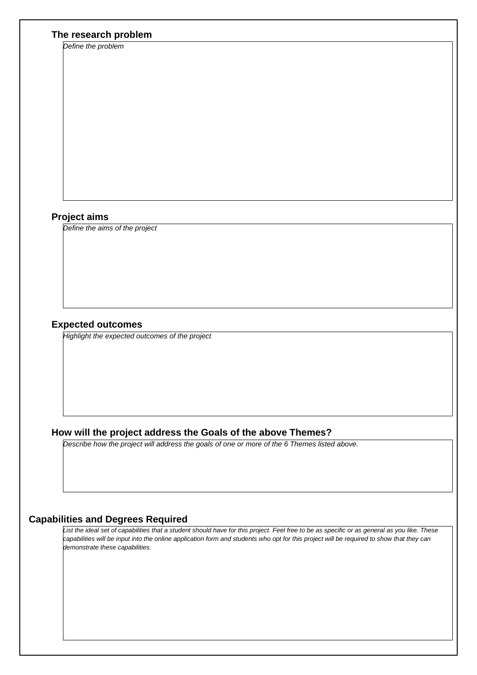### **The research problem**

*Define the problem* 

#### **Project aims**

*Define the aims of the project*

#### **Expected outcomes**

*Highlight the expected outcomes of the project*

## **How will the project address the Goals of the above Themes?**

*Describe how the project will address the goals of one or more of the 6 Themes listed above.*

#### **Capabilities and Degrees Required**

*List the ideal set of capabilities that a student should have for this project. Feel free to be as specific or as general as you like. These capabilities will be input into the online application form and students who opt for this project will be required to show that they can demonstrate these capabilities.*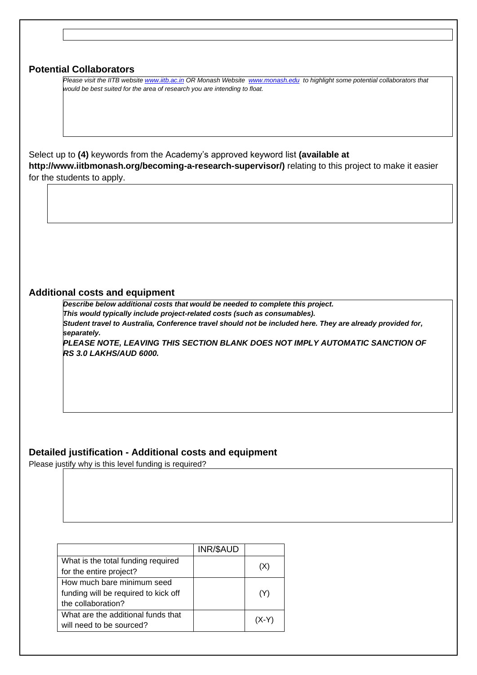| <b>Potential Collaborators</b>                                                                                               |
|------------------------------------------------------------------------------------------------------------------------------|
|                                                                                                                              |
| Please visit the IITB website www.iitb.ac.in OR Monash Website www.monash.edu to highlight some potential collaborators that |
| would be best suited for the area of research you are intending to float.                                                    |
|                                                                                                                              |
|                                                                                                                              |
|                                                                                                                              |
|                                                                                                                              |
|                                                                                                                              |
|                                                                                                                              |
| Select up to (4) keywords from the Academy's approved keyword list (available at                                             |
| http://www.iitbmonash.org/becoming-a-research-supervisor/) relating to this project to make it easier                        |
|                                                                                                                              |
| for the students to apply.                                                                                                   |
|                                                                                                                              |
|                                                                                                                              |
|                                                                                                                              |
|                                                                                                                              |
|                                                                                                                              |
|                                                                                                                              |
|                                                                                                                              |
|                                                                                                                              |
|                                                                                                                              |
|                                                                                                                              |
|                                                                                                                              |
|                                                                                                                              |
|                                                                                                                              |
| <b>Additional costs and equipment</b>                                                                                        |
|                                                                                                                              |
| Describe below additional costs that would be needed to complete this project.                                               |
| This would typically include project-related costs (such as consumables).                                                    |
| Student travel to Australia, Conference travel should not be included here. They are already provided for,                   |
| separately.                                                                                                                  |
| PLEASE NOTE, LEAVING THIS SECTION BLANK DOES NOT IMPLY AUTOMATIC SANCTION OF                                                 |
| <b>RS 3.0 LAKHS/AUD 6000.</b>                                                                                                |
|                                                                                                                              |
|                                                                                                                              |
|                                                                                                                              |
|                                                                                                                              |
|                                                                                                                              |
|                                                                                                                              |
|                                                                                                                              |
|                                                                                                                              |
|                                                                                                                              |
|                                                                                                                              |
|                                                                                                                              |
| Detailed justification - Additional costs and equipment                                                                      |
| Please justify why is this level funding is required?                                                                        |
|                                                                                                                              |
|                                                                                                                              |
|                                                                                                                              |
|                                                                                                                              |
|                                                                                                                              |

|                                      | INR/\$AUD |         |
|--------------------------------------|-----------|---------|
| What is the total funding required   |           |         |
| for the entire project?              |           | (X)     |
| How much bare minimum seed           |           |         |
| funding will be required to kick off |           | (Y)     |
| the collaboration?                   |           |         |
| What are the additional funds that   |           | $(X-Y)$ |
| will need to be sourced?             |           |         |